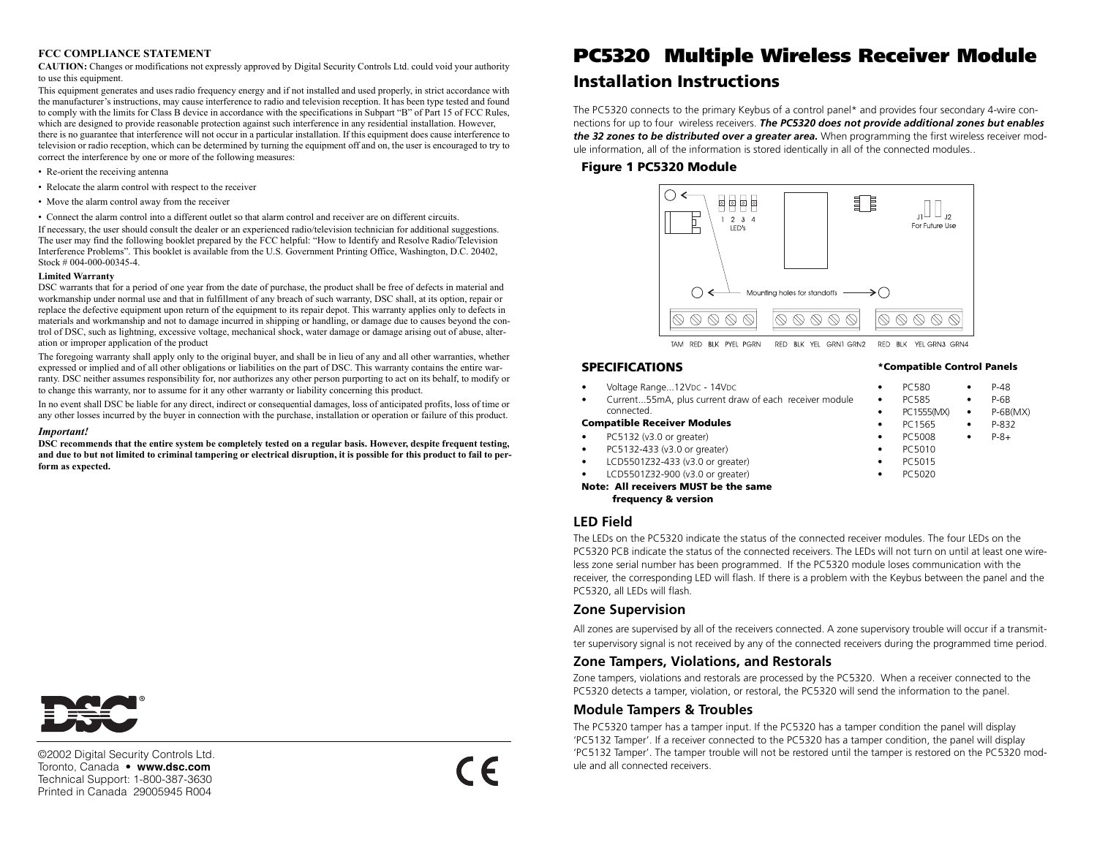#### **FCC COMPLIANCE STATEMENT**

**CAUTION:** Changes or modifications not expressly approved by Digital Security Controls Ltd. could void your authority to use this equipment.

This equipment generates and uses radio frequency energy and if not installed and used properly, in strict accordance with the manufacturer's instructions, may cause interference to radio and television reception. It has been type tested and found to comply with the limits for Class B device in accordance with the specifications in Subpart "B" of Part 15 of FCC Rules, which are designed to provide reasonable protection against such interference in any residential installation. However, there is no guarantee that interference will not occur in a particular installation. If this equipment does cause interference to television or radio reception, which can be determined by turning the equipment off and on, the user is encouraged to try to correct the interference by one or more of the following measures:

- Re-orient the receiving antenna
- Relocate the alarm control with respect to the receiver
- Move the alarm control away from the receiver
- Connect the alarm control into a different outlet so that alarm control and receiver are on different circuits.

If necessary, the user should consult the dealer or an experienced radio/television technician for additional suggestions. The user may find the following booklet prepared by the FCC helpful: "How to Identify and Resolve Radio/Television Interference Problems". This booklet is available from the U.S. Government Printing Office, Washington, D.C. 20402, Stock # 004-000-00345-4.

#### **Limited Warranty**

DSC warrants that for a period of one year from the date of purchase, the product shall be free of defects in material and workmanship under normal use and that in fulfillment of any breach of such warranty, DSC shall, at its option, repair or replace the defective equipment upon return of the equipment to its repair depot. This warranty applies only to defects in materials and workmanship and not to damage incurred in shipping or handling, or damage due to causes beyond the control of DSC, such as lightning, excessive voltage, mechanical shock, water damage or damage arising out of abuse, alteration or improper application of the product

The foregoing warranty shall apply only to the original buyer, and shall be in lieu of any and all other warranties, whether expressed or implied and of all other obligations or liabilities on the part of DSC. This warranty contains the entire warranty. DSC neither assumes responsibility for, nor authorizes any other person purporting to act on its behalf, to modify or to change this warranty, nor to assume for it any other warranty or liability concerning this product.

In no event shall DSC be liable for any direct, indirect or consequential damages, loss of anticipated profits, loss of time or any other losses incurred by the buyer in connection with the purchase, installation or operation or failure of this product.

#### *Important!*

**DSC recommends that the entire system be completely tested on a regular basis. However, despite frequent testing, and due to but not limited to criminal tampering or electrical disruption, it is possible for this product to fail to perform as expected.**



©2002 Digital Security Controls Ltd. Toronto, Canada • **www.dsc.com** Technical Support: 1-800-387-3630 Printed in Canada 29005945 R004



# **PC5320 Multiple Wireless Receiver Module Installation Instructions**

The PC5320 connects to the primary Keybus of a control panel\* and provides four secondary 4-wire connections for up to four wireless receivers. *The PC5320 does not provide additional zones but enables the 32 zones to be distributed over a greater area.* When programming the first wireless receiver module information, all of the information is stored identically in all of the connected modules..

### **Figure 1 PC5320 Module**



# **SPECIFICATIONS**

connected.

Voltage Range...12VDC - 14VDC

**Compatible Receiver Modules** 

PC5132 (v3.0 or greater)

PC5132-433 (v3.0 or greater)

LCD5501Z32-433 (v3.0 or greater)

 LCD5501Z32-900 (v3.0 or greater) **Note: All receivers MUST be the same frequency & version**

Current...55mA, plus current draw of each receive

#### **\*Compatible Control Panels**

|          | PC580        | P-48       |
|----------|--------------|------------|
| r module | <b>PC585</b> | $P-6B$     |
|          | PC1555(MX)   | $P-6B(MX)$ |
|          | PC1565       | P-832      |
|          | PC5008       | $P - 8 +$  |
|          | PC5010       |            |
|          | PC5015       |            |
|          | PC5020       |            |
|          |              |            |

### **LED Field**

•

•

•

•

•

•

The LEDs on the PC5320 indicate the status of the connected receiver modules. The four LEDs on the PC5320 PCB indicate the status of the connected receivers. The LEDs will not turn on until at least one wireless zone serial number has been programmed. If the PC5320 module loses communication with the receiver, the corresponding LED will flash. If there is a problem with the Keybus between the panel and the PC5320, all LEDs will flash.

### **Zone Supervision**

All zones are supervised by all of the receivers connected. A zone supervisory trouble will occur if a transmitter supervisory signal is not received by any of the connected receivers during the programmed time period.

# **Zone Tampers, Violations, and Restorals**

Zone tampers, violations and restorals are processed by the PC5320. When a receiver connected to the PC5320 detects a tamper, violation, or restoral, the PC5320 will send the information to the panel.

### **Module Tampers & Troubles**

The PC5320 tamper has a tamper input. If the PC5320 has a tamper condition the panel will display 'PC5132 Tamper'. If a receiver connected to the PC5320 has a tamper condition, the panel will display 'PC5132 Tamper'. The tamper trouble will not be restored until the tamper is restored on the PC5320 module and all connected receivers.